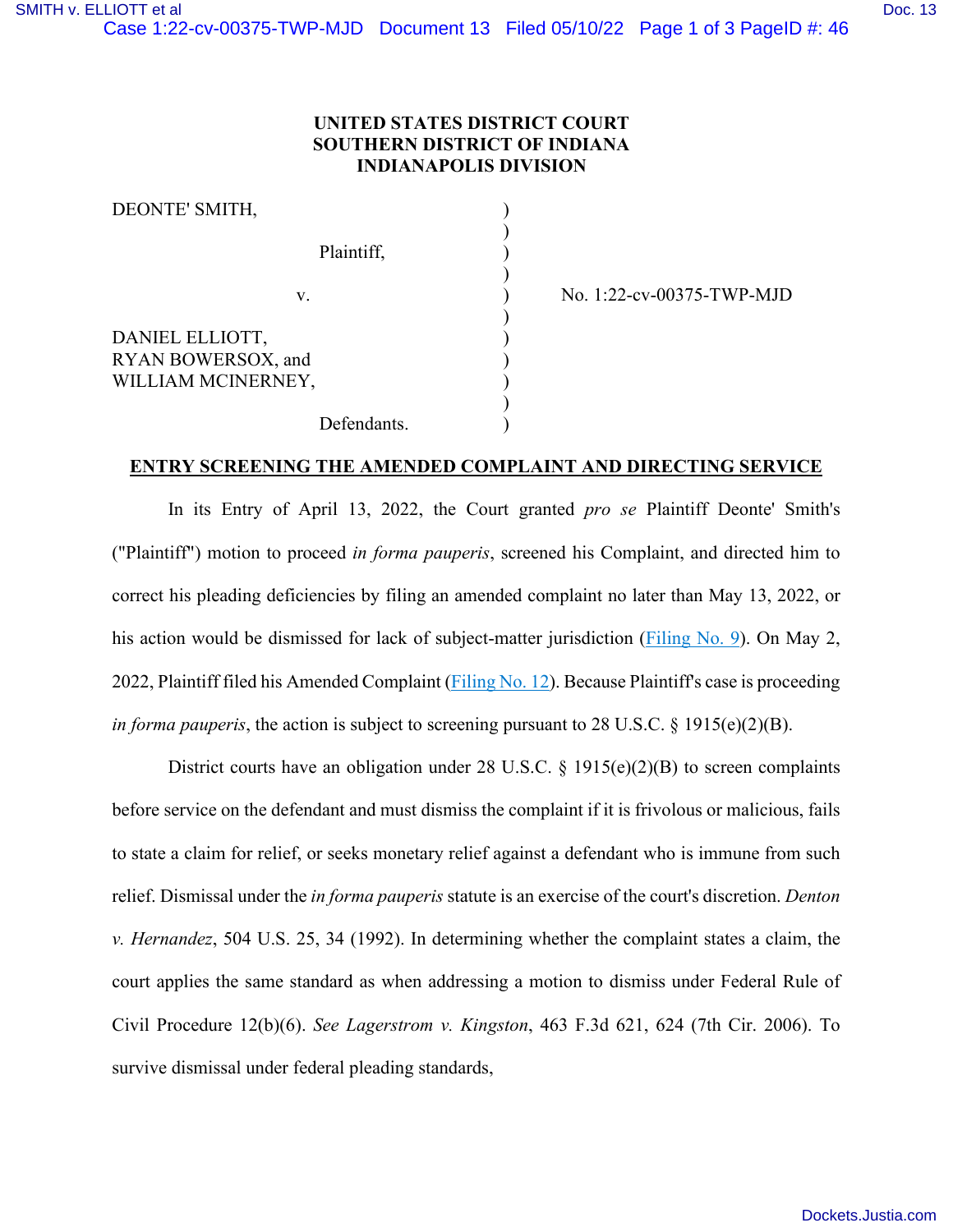## **UNITED STATES DISTRICT COURT SOUTHERN DISTRICT OF INDIANA INDIANAPOLIS DIVISION**

| DEONTE' SMITH,                                              |             |
|-------------------------------------------------------------|-------------|
| Plaintiff,                                                  |             |
| V.                                                          |             |
| DANIEL ELLIOTT,<br>RYAN BOWERSOX, and<br>WILLIAM MCINERNEY, |             |
|                                                             | Defendants. |

) No. 1:22-cv-00375-TWP-MJD

## **ENTRY SCREENING THE AMENDED COMPLAINT AND DIRECTING SERVICE**

In its Entry of April 13, 2022, the Court granted *pro se* Plaintiff Deonte' Smith's ("Plaintiff") motion to proceed *in forma pauperis*, screened his Complaint, and directed him to correct his pleading deficiencies by filing an amended complaint no later than May 13, 2022, or his action would be dismissed for lack of subject-matter jurisdiction [\(Filing No. 9\)](https://ecf.insd.uscourts.gov/doc1/07319218987). On May 2, 2022, Plaintiff filed his Amended Complaint [\(Filing No. 12\)](https://ecf.insd.uscourts.gov/doc1/07319254740). Because Plaintiff's case is proceeding *in forma pauperis*, the action is subject to screening pursuant to 28 U.S.C.  $\S$  1915(e)(2)(B).

District courts have an obligation under 28 U.S.C.  $\S$  1915(e)(2)(B) to screen complaints before service on the defendant and must dismiss the complaint if it is frivolous or malicious, fails to state a claim for relief, or seeks monetary relief against a defendant who is immune from such relief. Dismissal under the *in forma pauperis* statute is an exercise of the court's discretion. *Denton v. Hernandez*, 504 U.S. 25, 34 (1992). In determining whether the complaint states a claim, the court applies the same standard as when addressing a motion to dismiss under Federal Rule of Civil Procedure 12(b)(6). *See Lagerstrom v. Kingston*, 463 F.3d 621, 624 (7th Cir. 2006). To survive dismissal under federal pleading standards,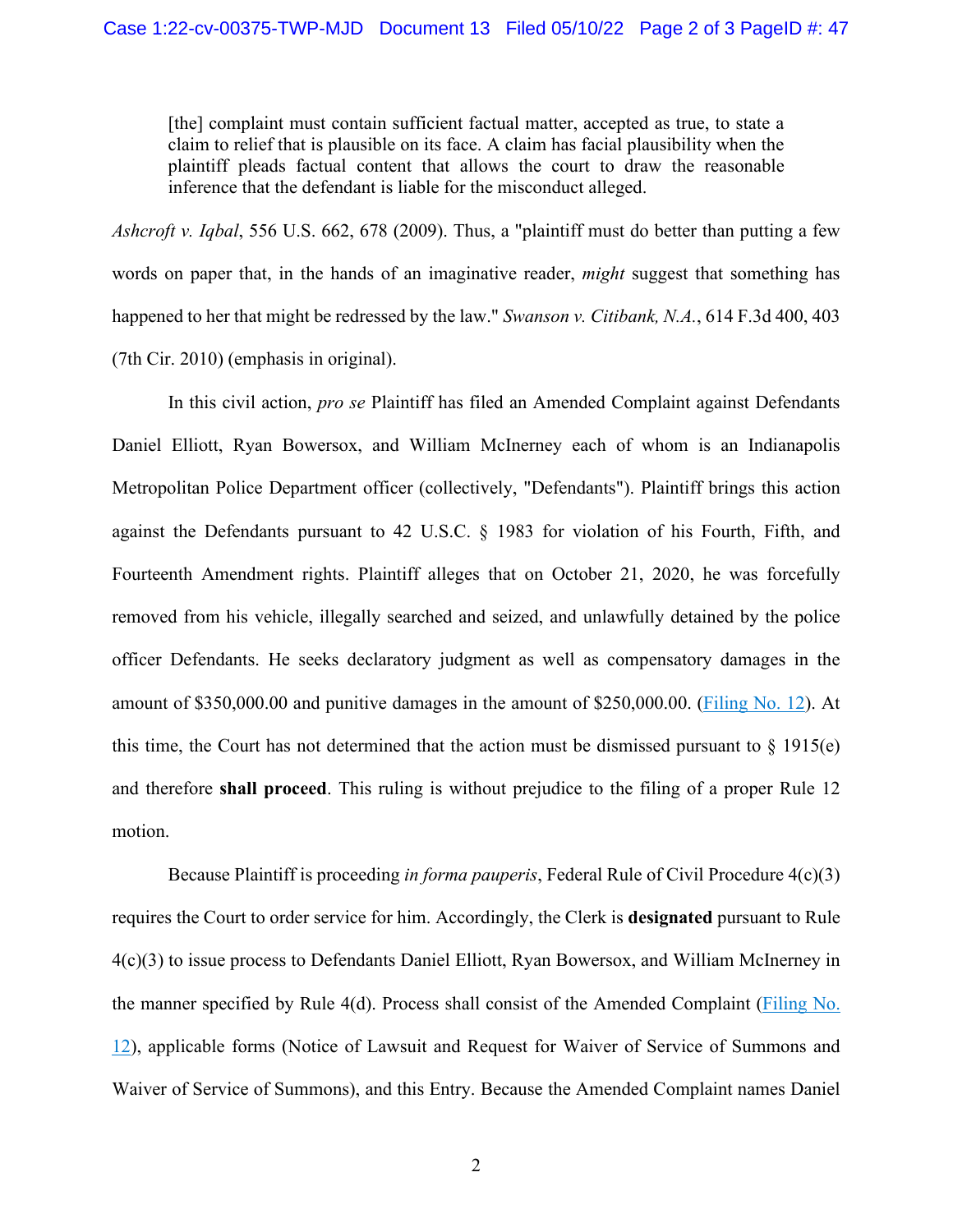[the] complaint must contain sufficient factual matter, accepted as true, to state a claim to relief that is plausible on its face. A claim has facial plausibility when the plaintiff pleads factual content that allows the court to draw the reasonable inference that the defendant is liable for the misconduct alleged.

*Ashcroft v. Iqbal*, 556 U.S. 662, 678 (2009). Thus, a "plaintiff must do better than putting a few words on paper that, in the hands of an imaginative reader, *might* suggest that something has happened to her that might be redressed by the law." *Swanson v. Citibank, N.A.*, 614 F.3d 400, 403 (7th Cir. 2010) (emphasis in original).

In this civil action, *pro se* Plaintiff has filed an Amended Complaint against Defendants Daniel Elliott, Ryan Bowersox, and William McInerney each of whom is an Indianapolis Metropolitan Police Department officer (collectively, "Defendants"). Plaintiff brings this action against the Defendants pursuant to 42 U.S.C. § 1983 for violation of his Fourth, Fifth, and Fourteenth Amendment rights. Plaintiff alleges that on October 21, 2020, he was forcefully removed from his vehicle, illegally searched and seized, and unlawfully detained by the police officer Defendants. He seeks declaratory judgment as well as compensatory damages in the amount of \$350,000.00 and punitive damages in the amount of \$250,000.00. [\(Filing No. 12\)](https://ecf.insd.uscourts.gov/doc1/07319254740). At this time, the Court has not determined that the action must be dismissed pursuant to  $\S$  1915(e) and therefore **shall proceed**. This ruling is without prejudice to the filing of a proper Rule 12 motion.

Because Plaintiff is proceeding *in forma pauperis*, Federal Rule of Civil Procedure 4(c)(3) requires the Court to order service for him. Accordingly, the Clerk is **designated** pursuant to Rule 4(c)(3) to issue process to Defendants Daniel Elliott, Ryan Bowersox, and William McInerney in the manner specified by Rule 4(d). Process shall consist of the Amended Complaint [\(Filing No.](https://ecf.insd.uscourts.gov/doc1/07319254740)  [12\)](https://ecf.insd.uscourts.gov/doc1/07319254740), applicable forms (Notice of Lawsuit and Request for Waiver of Service of Summons and Waiver of Service of Summons), and this Entry. Because the Amended Complaint names Daniel